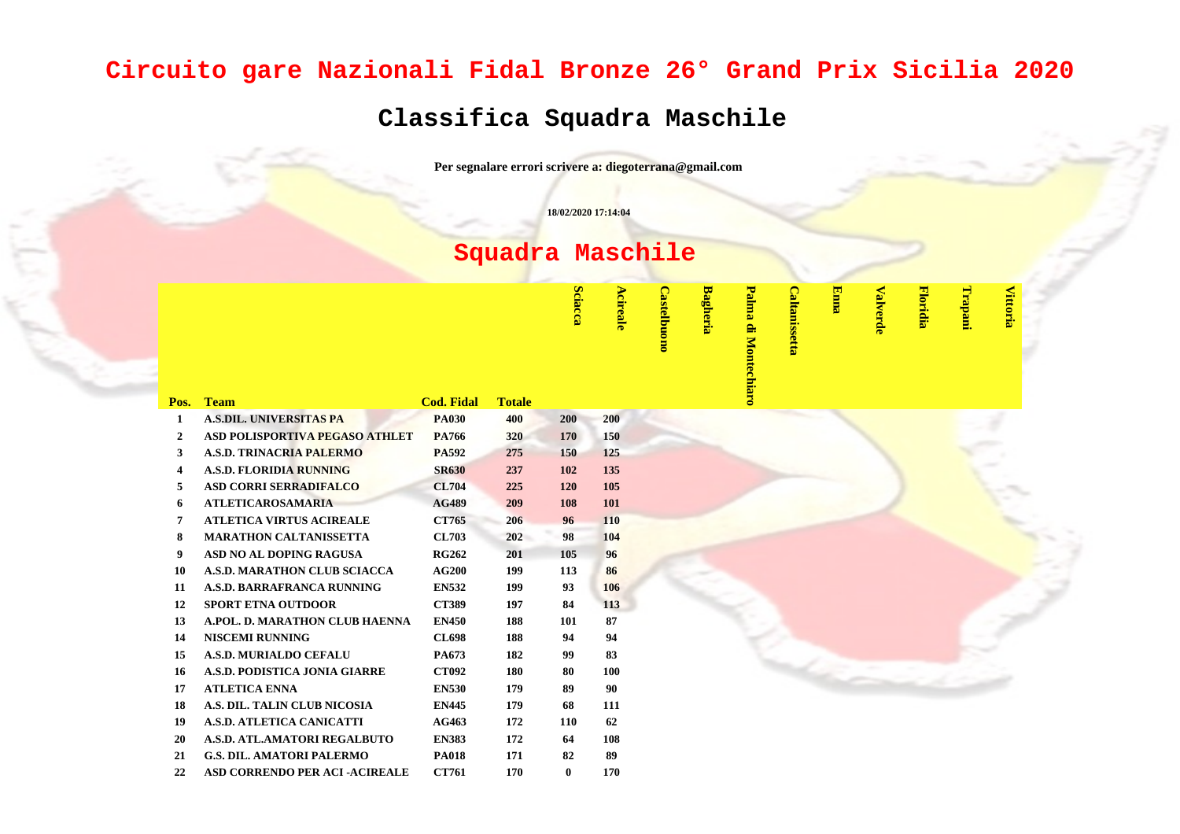## **Circuito gare Nazionali Fidal Bronze 26° Grand Prix Sicilia 2020**

## **Classifica Squadra Maschile**

**Per segnalare errori scrivere a: diegoterrana@gmail.com**

**18/02/2020 17:14:04**

## **Squadra Maschile**

**Sciacca**

**CT761 <sup>170</sup> <sup>0</sup> <sup>170</sup>**

**cireale** 

**Castelbuono**

**Castelbuone** 

**Bagheria**

**Palma di Montechiaro**

Palma di Montechiaro

**Caltanissetta**

**Caltanissetta** 

**Enna**

**Valverde**

**Floridia**

**Trapani**

**Vittoria**

| Pos.             | <b>Team</b>                         | <b>Cod. Fidal</b> | <b>Totale</b> |     |     |
|------------------|-------------------------------------|-------------------|---------------|-----|-----|
| 1                | <b>A.S.DIL. UNIVERSITAS PA</b>      | <b>PA030</b>      | 400           | 200 | 200 |
| $\mathbf{2}$     | ASD POLISPORTIVA PEGASO ATHLET      | PA766             | 320           | 170 | 150 |
| 3                | <b>A.S.D. TRINACRIA PALERMO</b>     | <b>PA592</b>      | 275           | 150 | 125 |
| 4                | <b>A.S.D. FLORIDIA RUNNING</b>      | <b>SR630</b>      | 237           | 102 | 135 |
| 5                | <b>ASD CORRI SERRADIFALCO</b>       | <b>CL704</b>      | 225           | 120 | 105 |
| 6                | <b>ATLETICAROSAMARIA</b>            | <b>AG489</b>      | 209           | 108 | 101 |
| 7                | <b>ATLETICA VIRTUS ACIREALE</b>     | CT765             | 206           | 96  | 110 |
| 8                | <b>MARATHON CALTANISSETTA</b>       | <b>CL703</b>      | 202           | 98  | 104 |
| $\boldsymbol{9}$ | ASD NO AL DOPING RAGUSA             | <b>RG262</b>      | 201           | 105 | 96  |
| 10               | <b>A.S.D. MARATHON CLUB SCIACCA</b> | <b>AG200</b>      | 199           | 113 | 86  |
| 11               | <b>A.S.D. BARRAFRANCA RUNNING</b>   | <b>EN532</b>      | 199           | 93  | 106 |
| 12               | <b>SPORT ETNA OUTDOOR</b>           | <b>CT389</b>      | 197           | 84  | 113 |
| 13               | A.POL. D. MARATHON CLUB HAENNA      | <b>EN450</b>      | 188           | 101 | 87  |
| 14               | <b>NISCEMI RUNNING</b>              | <b>CL698</b>      | 188           | 94  | 94  |
| 15               | A.S.D. MURIALDO CEFALU              | PA673             | 182           | 99  | 83  |
| 16               | A.S.D. PODISTICA JONIA GIARRE       | <b>CT092</b>      | 180           | 80  | 100 |
| 17               | <b>ATLETICA ENNA</b>                | <b>EN530</b>      | 179           | 89  | 90  |
| 18               | A.S. DIL. TALIN CLUB NICOSIA        | <b>EN445</b>      | 179           | 68  | 111 |
| 19               | <b>A.S.D. ATLETICA CANICATTI</b>    | AG463             | 172           | 110 | 62  |
| 20               | A.S.D. ATL.AMATORI REGALBUTO        | <b>EN383</b>      | 172           | 64  | 108 |
| 21               | <b>G.S. DIL. AMATORI PALERMO</b>    | <b>PA018</b>      | 171           | 82  | 89  |
|                  |                                     |                   |               |     |     |

**22 ASD CORRENDO PER ACI -ACIREALE**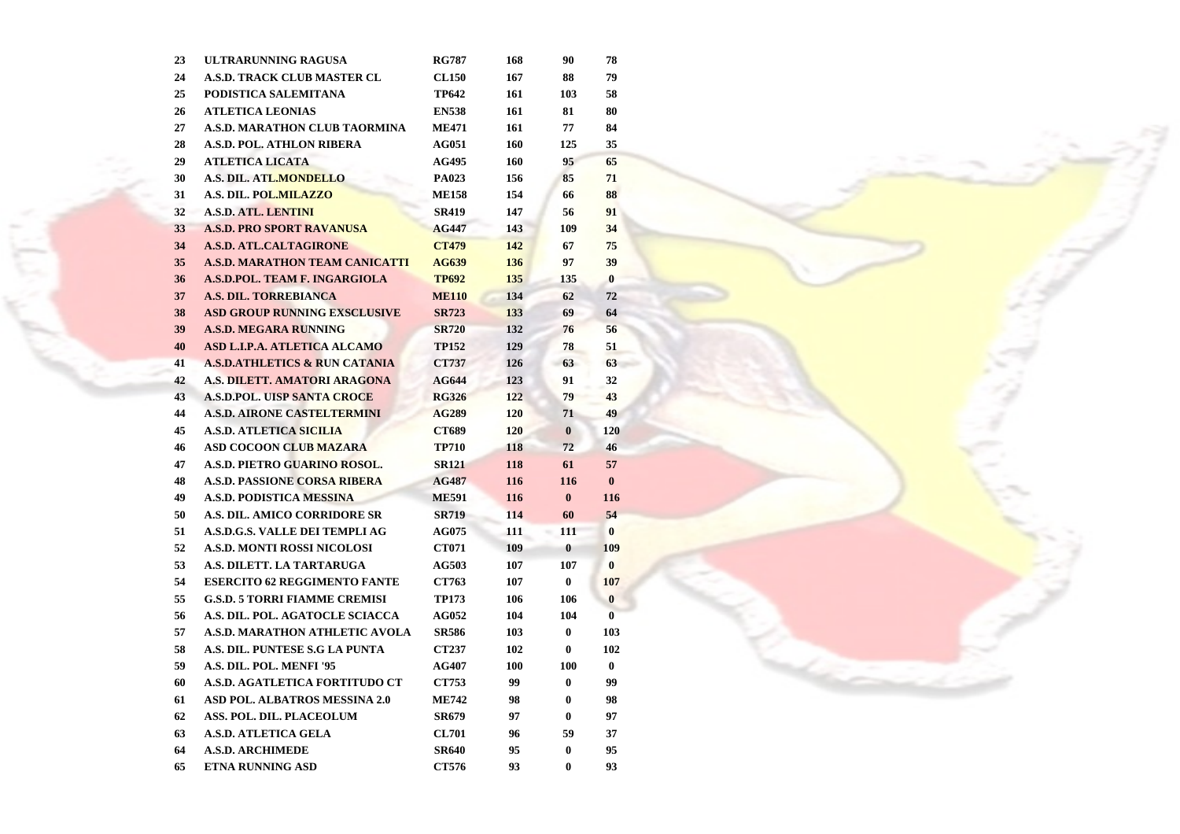| 23 | ULTRARUNNING RAGUSA                      | <b>RG787</b> | 168 | 90       | 78           |
|----|------------------------------------------|--------------|-----|----------|--------------|
| 24 | <b>A.S.D. TRACK CLUB MASTER CL</b>       | <b>CL150</b> | 167 | 88       | 79           |
| 25 | PODISTICA SALEMITANA                     | TP642        | 161 | 103      | 58           |
| 26 | <b>ATLETICA LEONIAS</b>                  | <b>EN538</b> | 161 | 81       | 80           |
| 27 | <b>A.S.D. MARATHON CLUB TAORMINA</b>     | <b>ME471</b> | 161 | 77       | 84           |
| 28 | <b>A.S.D. POL. ATHLON RIBERA</b>         | <b>AG051</b> | 160 | 125      | 35           |
| 29 | <b>ATLETICA LICATA</b>                   | <b>AG495</b> | 160 | 95       | 65           |
| 30 | A.S. DIL. ATL.MONDELLO                   | <b>PA023</b> | 156 | 85       | 71           |
| 31 | A.S. DIL. POL.MILAZZO                    | <b>ME158</b> | 154 | 66       | 88           |
| 32 | <b>A.S.D. ATL. LENTINI</b>               | <b>SR419</b> | 147 | 56       | 91           |
| 33 | <b>A.S.D. PRO SPORT RAVANUSA</b>         | <b>AG447</b> | 143 | 109      | 34           |
| 34 | <b>A.S.D. ATL.CALTAGIRONE</b>            | <b>CT479</b> | 142 | 67       | 75           |
| 35 | <b>A.S.D. MARATHON TEAM CANICATTI</b>    | <b>AG639</b> | 136 | 97       | 39           |
| 36 | A.S.D.POL. TEAM F. INGARGIOLA            | <b>TP692</b> | 135 | 135      | $\bf{0}$     |
| 37 | A.S. DIL. TORREBIANCA                    | <b>ME110</b> | 134 | 62       | 72           |
| 38 | <b>ASD GROUP RUNNING EXSCLUSIVE</b>      | <b>SR723</b> | 133 | 69       | 64           |
| 39 | <b>A.S.D. MEGARA RUNNING</b>             | <b>SR720</b> | 132 | 76       | 56           |
| 40 | ASD L.I.P.A. ATLETICA ALCAMO             | <b>TP152</b> | 129 | 78       | 51           |
| 41 | <b>A.S.D.ATHLETICS &amp; RUN CATANIA</b> | <b>CT737</b> | 126 | 63       | 63           |
| 42 | A.S. DILETT. AMATORI ARAGONA             | <b>AG644</b> | 123 | 91       | 32           |
| 43 | <b>A.S.D.POL. UISP SANTA CROCE</b>       | <b>RG326</b> | 122 | 79       | 43           |
| 44 | <b>A.S.D. AIRONE CASTELTERMINI</b>       | <b>AG289</b> | 120 | 71       | 49           |
| 45 | <b>A.S.D. ATLETICA SICILIA</b>           | CT689        | 120 | $\bf{0}$ | 120          |
| 46 | <b>ASD COCOON CLUB MAZARA</b>            | <b>TP710</b> | 118 | 72       | 46           |
| 47 | A.S.D. PIETRO GUARINO ROSOL.             | <b>SR121</b> | 118 | 61       | 57           |
| 48 | <b>A.S.D. PASSIONE CORSA RIBERA</b>      | <b>AG487</b> | 116 | 116      | $\bf{0}$     |
| 49 | <b>A.S.D. PODISTICA MESSINA</b>          | <b>ME591</b> | 116 | $\bf{0}$ | 116          |
| 50 | A.S. DIL. AMICO CORRIDORE SR             | <b>SR719</b> | 114 | 60       | 54           |
| 51 | A.S.D.G.S. VALLE DEI TEMPLI AG           | <b>AG075</b> | 111 | 111      | $\mathbf{0}$ |
| 52 | <b>A.S.D. MONTI ROSSI NICOLOSI</b>       | <b>CT071</b> | 109 | $\bf{0}$ | 109          |
| 53 | A.S. DILETT. LA TARTARUGA                | <b>AG503</b> | 107 | 107      | $\mathbf{0}$ |
| 54 | <b>ESERCITO 62 REGGIMENTO FANTE</b>      | <b>CT763</b> | 107 | $\bf{0}$ | 107          |
| 55 | <b>G.S.D. 5 TORRI FIAMME CREMISI</b>     | <b>TP173</b> | 106 | 106      | $\bf{0}$     |
| 56 | A.S. DIL. POL. AGATOCLE SCIACCA          | <b>AG052</b> | 104 | 104      | $\bf{0}$     |
| 57 | A.S.D. MARATHON ATHLETIC AVOLA           | SR586        | 103 | $\bf{0}$ | 103          |
| 58 | A.S. DIL. PUNTESE S.G LA PUNTA           | <b>CT237</b> | 102 | $\bf{0}$ | 102          |
| 59 | A.S. DIL. POL. MENFI '95                 | <b>AG407</b> | 100 | 100      | $\bf{0}$     |
| 60 | A.S.D. AGATLETICA FORTITUDO CT           | <b>CT753</b> | 99  | $\bf{0}$ | 99           |
| 61 | <b>ASD POL. ALBATROS MESSINA 2.0</b>     | <b>ME742</b> | 98  | 0        | 98           |
| 62 | ASS. POL. DIL. PLACEOLUM                 | <b>SR679</b> | 97  | $\bf{0}$ | 97           |
| 63 | <b>A.S.D. ATLETICA GELA</b>              | <b>CL701</b> | 96  | 59       | 37           |
| 64 | <b>A.S.D. ARCHIMEDE</b>                  | <b>SR640</b> | 95  | $\bf{0}$ | 95           |
| 65 | <b>ETNA RUNNING ASD</b>                  | CT576        | 93  | $\bf{0}$ | 93           |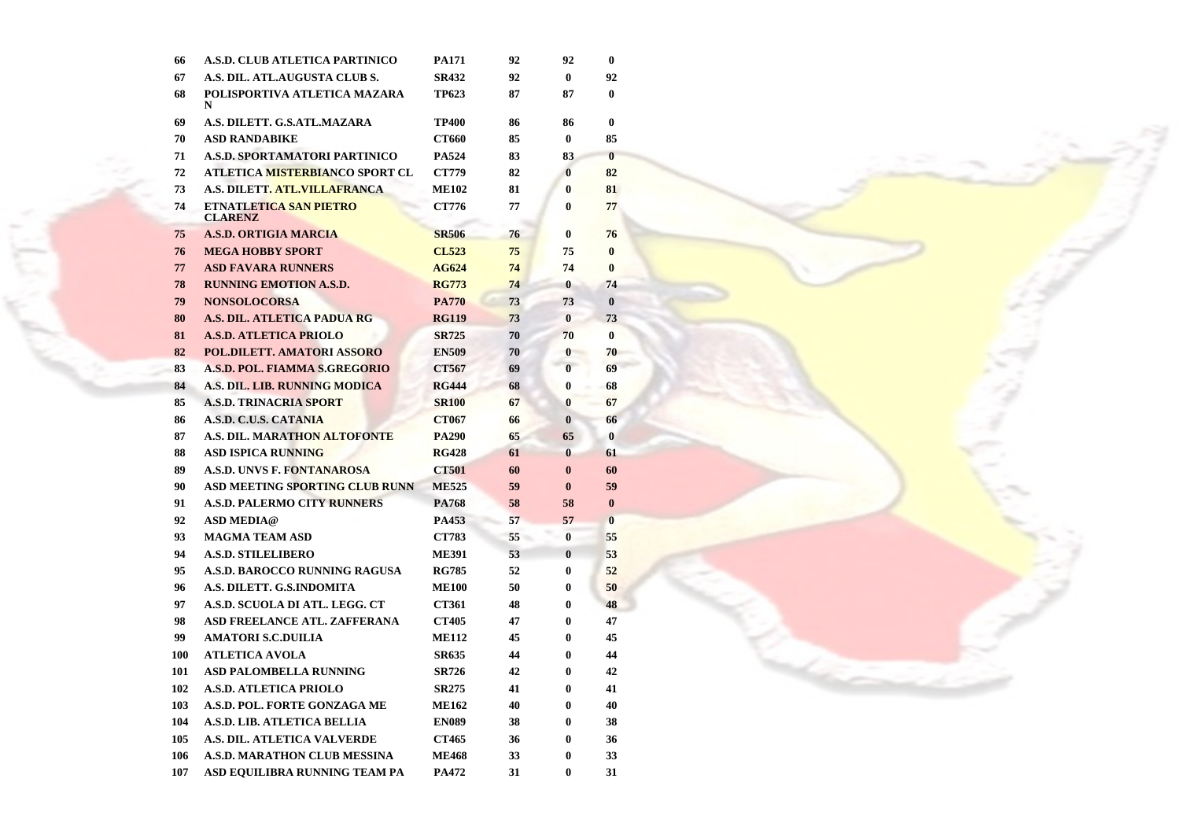| 66  | A.S.D. CLUB ATLETICA PARTINICO                  | <b>PA171</b> | 92 | 92           | $\bf{0}$ |
|-----|-------------------------------------------------|--------------|----|--------------|----------|
| 67  | A.S. DIL. ATL.AUGUSTA CLUB S.                   | <b>SR432</b> | 92 | $\bf{0}$     | 92       |
| 68  | POLISPORTIVA ATLETICA MAZARA<br>N               | <b>TP623</b> | 87 | 87           | $\bf{0}$ |
| 69  | A.S. DILETT. G.S.ATL.MAZARA                     | <b>TP400</b> | 86 | 86           | 0        |
| 70  | <b>ASD RANDABIKE</b>                            | CT660        | 85 | $\bf{0}$     | 85       |
| 71  | <b>A.S.D. SPORTAMATORI PARTINICO</b>            | <b>PA524</b> | 83 | 83           | $\bf{0}$ |
| 72  | ATLETICA MISTERBIANCO SPORT CL                  | <b>CT779</b> | 82 | $\bf{0}$     | 82       |
| 73  | <b>A.S. DILETT. ATL.VILLAFRANCA</b>             | <b>ME102</b> | 81 | $\bf{0}$     | 81       |
| 74  | <b>ETNATLETICA SAN PIETRO</b><br><b>CLARENZ</b> | CT776        | 77 | $\bf{0}$     | 77       |
| 75  | <b>A.S.D. ORTIGIA MARCIA</b>                    | <b>SR506</b> | 76 | $\bf{0}$     | 76       |
| 76  | <b>MEGA HOBBY SPORT</b>                         | <b>CL523</b> | 75 | 75           | $\bf{0}$ |
| 77  | <b>ASD FAVARA RUNNERS</b>                       | AG624        | 74 | 74           | $\bf{0}$ |
| 78  | <b>RUNNING EMOTION A.S.D.</b>                   | <b>RG773</b> | 74 | $\bf{0}$     | 74       |
| 79  | <b>NONSOLOCORSA</b>                             | <b>PA770</b> | 73 | 73           | $\bf{0}$ |
| 80  | A.S. DIL. ATLETICA PADUA RG                     | <b>RG119</b> | 73 | $\bf{0}$     | 73       |
| 81  | <b>A.S.D. ATLETICA PRIOLO</b>                   | <b>SR725</b> | 70 | 70           | $\bf{0}$ |
| 82  | POL.DILETT. AMATORI ASSORO                      | <b>EN509</b> | 70 | $\bf{0}$     | 70       |
| 83  | A.S.D. POL. FIAMMA S.GREGORIO                   | CT567        | 69 | $\bf{0}$     | 69       |
| 84  | A.S. DIL. LIB. RUNNING MODICA                   | <b>RG444</b> | 68 | 0            | 68       |
| 85  | <b>A.S.D. TRINACRIA SPORT</b>                   | <b>SR100</b> | 67 | 0            | 67       |
| 86  | A.S.D. C.U.S. CATANIA                           | <b>CT067</b> | 66 | $\mathbf{0}$ | 66       |
| 87  | <b>A.S. DIL. MARATHON ALTOFONTE</b>             | <b>PA290</b> | 65 | 65           | $\bf{0}$ |
| 88  | <b>ASD ISPICA RUNNING</b>                       | <b>RG428</b> | 61 | $\bf{0}$     | 61       |
| 89  | <b>A.S.D. UNVS F. FONTANAROSA</b>               | <b>CT501</b> | 60 | $\bf{0}$     | 60       |
| 90  | <b>ASD MEETING SPORTING CLUB RUNN</b>           | <b>ME525</b> | 59 | $\bf{0}$     | 59       |
| 91  | <b>A.S.D. PALERMO CITY RUNNERS</b>              | <b>PA768</b> | 58 | 58           | $\bf{0}$ |
| 92  | <b>ASD MEDIA@</b>                               | PA453        | 57 | 57           | $\bf{0}$ |
| 93  | <b>MAGMA TEAM ASD</b>                           | <b>CT783</b> | 55 | $\bf{0}$     | 55       |
| 94  | <b>A.S.D. STILELIBERO</b>                       | <b>ME391</b> | 53 | $\bf{0}$     | 53       |
| 95  | <b>A.S.D. BAROCCO RUNNING RAGUSA</b>            | <b>RG785</b> | 52 | 0            | 52       |
| 96  | A.S. DILETT. G.S.INDOMITA                       | <b>ME100</b> | 50 | $\bf{0}$     | 50       |
| 97  | A.S.D. SCUOLA DI ATL. LEGG. CT                  | <b>CT361</b> | 48 | 0            | 48       |
| 98  | ASD FREELANCE ATL. ZAFFERANA                    | <b>CT405</b> | 47 | 0            | 47       |
| 99  | <b>AMATORI S.C.DUILIA</b>                       | <b>ME112</b> | 45 | 0            | 45       |
| 100 | <b>ATLETICA AVOLA</b>                           | <b>SR635</b> | 44 | 0            | 44       |
| 101 | <b>ASD PALOMBELLA RUNNING</b>                   | <b>SR726</b> | 42 | 0            | 42       |
| 102 | <b>A.S.D. ATLETICA PRIOLO</b>                   | <b>SR275</b> | 41 | 0            | 41       |
| 103 | A.S.D. POL. FORTE GONZAGA ME                    | <b>ME162</b> | 40 | 0            | 40       |
| 104 | <b>A.S.D. LIB. ATLETICA BELLIA</b>              | <b>EN089</b> | 38 | 0            | 38       |
| 105 | A.S. DIL. ATLETICA VALVERDE                     | CT465        | 36 | 0            | 36       |
| 106 | A.S.D. MARATHON CLUB MESSINA                    | <b>ME468</b> | 33 | 0            | 33       |
| 107 | ASD EQUILIBRA RUNNING TEAM PA                   | <b>PA472</b> | 31 | 0            | 31       |
|     |                                                 |              |    |              |          |